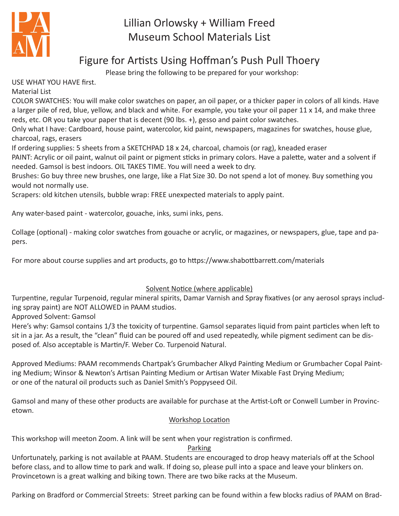

# Lillian Orlowsky + William Freed Museum School Materials List

## Figure for Artists Using Hoffman's Push Pull Thoery

Please bring the following to be prepared for your workshop:

USE WHAT YOU HAVE first.

Material List

COLOR SWATCHES: You will make color swatches on paper, an oil paper, or a thicker paper in colors of all kinds. Have a larger pile of red, blue, yellow, and black and white. For example, you take your oil paper 11 x 14, and make three reds, etc. OR you take your paper that is decent (90 lbs. +), gesso and paint color swatches.

Only what I have: Cardboard, house paint, watercolor, kid paint, newspapers, magazines for swatches, house glue, charcoal, rags, erasers

If ordering supplies: 5 sheets from a SKETCHPAD 18 x 24, charcoal, chamois (or rag), kneaded eraser

PAINT: Acrylic or oil paint, walnut oil paint or pigment sticks in primary colors. Have a palette, water and a solvent if needed. Gamsol is best indoors. OIL TAKES TIME. You will need a week to dry.

Brushes: Go buy three new brushes, one large, like a Flat Size 30. Do not spend a lot of money. Buy something you would not normally use.

Scrapers: old kitchen utensils, bubble wrap: FREE unexpected materials to apply paint.

Any water-based paint - watercolor, gouache, inks, sumi inks, pens.

Collage (optional) - making color swatches from gouache or acrylic, or magazines, or newspapers, glue, tape and papers.

For more about course supplies and art products, go to https://www.shabottbarrett.com/materials

## Solvent Notice (where applicable)

Turpentine, regular Turpenoid, regular mineral spirits, Damar Varnish and Spray fixatives (or any aerosol sprays including spray paint) are NOT ALLOWED in PAAM studios.

Approved Solvent: Gamsol

Here's why: Gamsol contains 1/3 the toxicity of turpentine. Gamsol separates liquid from paint particles when left to sit in a jar. As a result, the "clean" fluid can be poured off and used repeatedly, while pigment sediment can be disposed of. Also acceptable is Martin/F. Weber Co. Turpenoid Natural.

Approved Mediums: PAAM recommends Chartpak's Grumbacher Alkyd Painting Medium or Grumbacher Copal Painting Medium; Winsor & Newton's Artisan Painting Medium or Artisan Water Mixable Fast Drying Medium; or one of the natural oil products such as Daniel Smith's Poppyseed Oil.

Gamsol and many of these other products are available for purchase at the Artist-Loft or Conwell Lumber in Provincetown.

### Workshop Location

This workshop will meeton Zoom. A link will be sent when your registration is confirmed.

### Parking

Unfortunately, parking is not available at PAAM. Students are encouraged to drop heavy materials off at the School before class, and to allow time to park and walk. If doing so, please pull into a space and leave your blinkers on. Provincetown is a great walking and biking town. There are two bike racks at the Museum.

Parking on Bradford or Commercial Streets: Street parking can be found within a few blocks radius of PAAM on Brad-